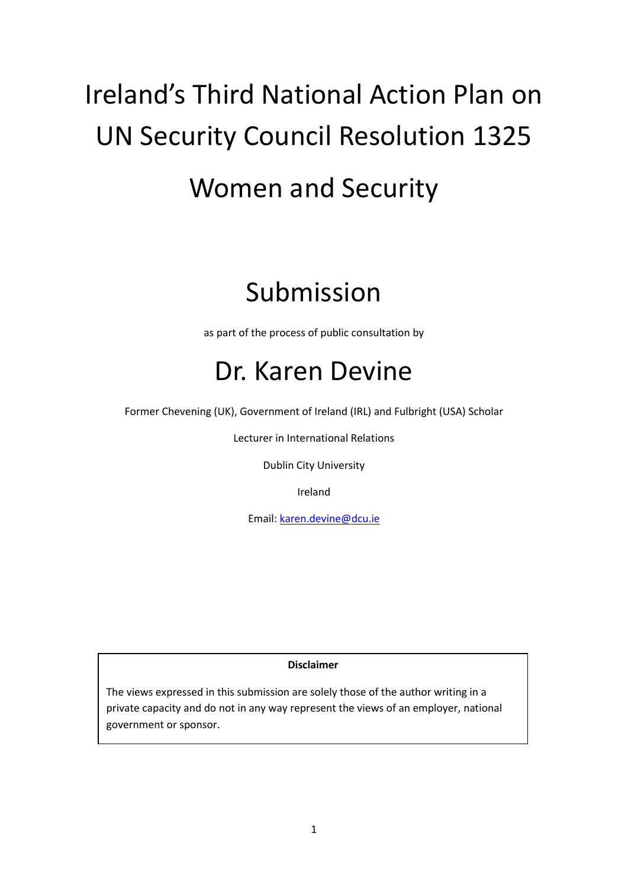# Ireland's Third National Action Plan on UN Security Council Resolution 1325 Women and Security

## Submission

as part of the process of public consultation by

## Dr. Karen Devine

Former Chevening (UK), Government of Ireland (IRL) and Fulbright (USA) Scholar

Lecturer in International Relations

Dublin City University

Ireland

Email: [karen.devine@dcu.ie](mailto:karen.devine@dcu.ie)

**Disclaimer**

The views expressed in this submission are solely those of the author writing in a private capacity and do not in any way represent the views of an employer, national government or sponsor.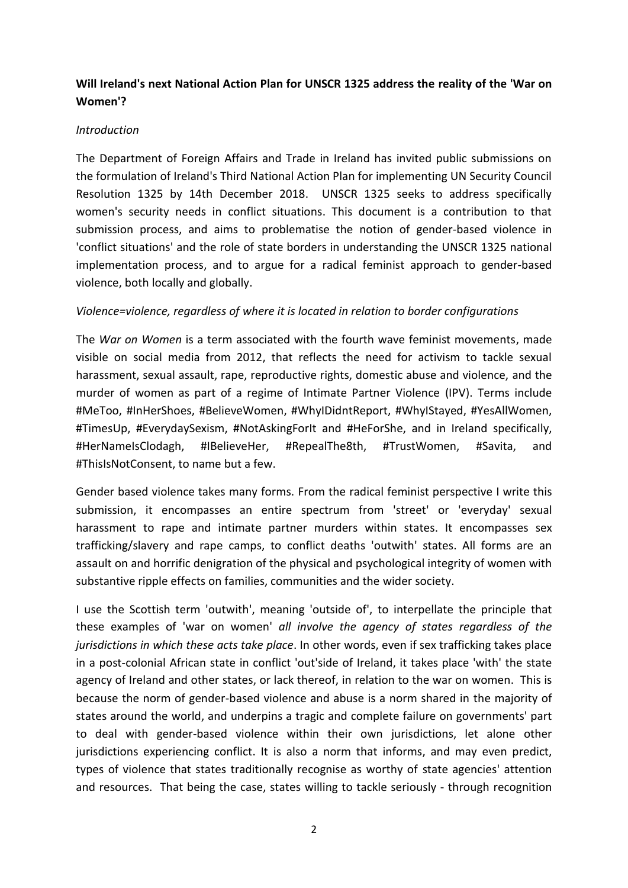### **Will Ireland's next National Action Plan for UNSCR 1325 address the reality of the 'War on Women'?**

#### *Introduction*

The Department of Foreign Affairs and Trade in Ireland has invited public submissions on the formulation of Ireland's Third National Action Plan for implementing UN Security Council Resolution 1325 by 14th December 2018. UNSCR 1325 seeks to address specifically women's security needs in conflict situations. This document is a contribution to that submission process, and aims to problematise the notion of gender-based violence in 'conflict situations' and the role of state borders in understanding the UNSCR 1325 national implementation process, and to argue for a radical feminist approach to gender-based violence, both locally and globally.

#### *Violence=violence, regardless of where it is located in relation to border configurations*

The *War on Women* is a term associated with the fourth wave feminist movements, made visible on social media from 2012, that reflects the need for activism to tackle sexual harassment, sexual assault, rape, reproductive rights, domestic abuse and violence, and the murder of women as part of a regime of Intimate Partner Violence (IPV). Terms include #MeToo, #InHerShoes, #BelieveWomen, #WhyIDidntReport, #WhyIStayed, #YesAllWomen, #TimesUp, #EverydaySexism, #NotAskingForIt and #HeForShe, and in Ireland specifically, #HerNameIsClodagh, #IBelieveHer, #RepealThe8th, #TrustWomen, #Savita, and #ThisIsNotConsent, to name but a few.

Gender based violence takes many forms. From the radical feminist perspective I write this submission, it encompasses an entire spectrum from 'street' or 'everyday' sexual harassment to rape and intimate partner murders within states. It encompasses sex trafficking/slavery and rape camps, to conflict deaths 'outwith' states. All forms are an assault on and horrific denigration of the physical and psychological integrity of women with substantive ripple effects on families, communities and the wider society.

I use the Scottish term 'outwith', meaning 'outside of', to interpellate the principle that these examples of 'war on women' *all involve the agency of states regardless of the jurisdictions in which these acts take place*. In other words, even if sex trafficking takes place in a post-colonial African state in conflict 'out'side of Ireland, it takes place 'with' the state agency of Ireland and other states, or lack thereof, in relation to the war on women. This is because the norm of gender-based violence and abuse is a norm shared in the majority of states around the world, and underpins a tragic and complete failure on governments' part to deal with gender-based violence within their own jurisdictions, let alone other jurisdictions experiencing conflict. It is also a norm that informs, and may even predict, types of violence that states traditionally recognise as worthy of state agencies' attention and resources. That being the case, states willing to tackle seriously - through recognition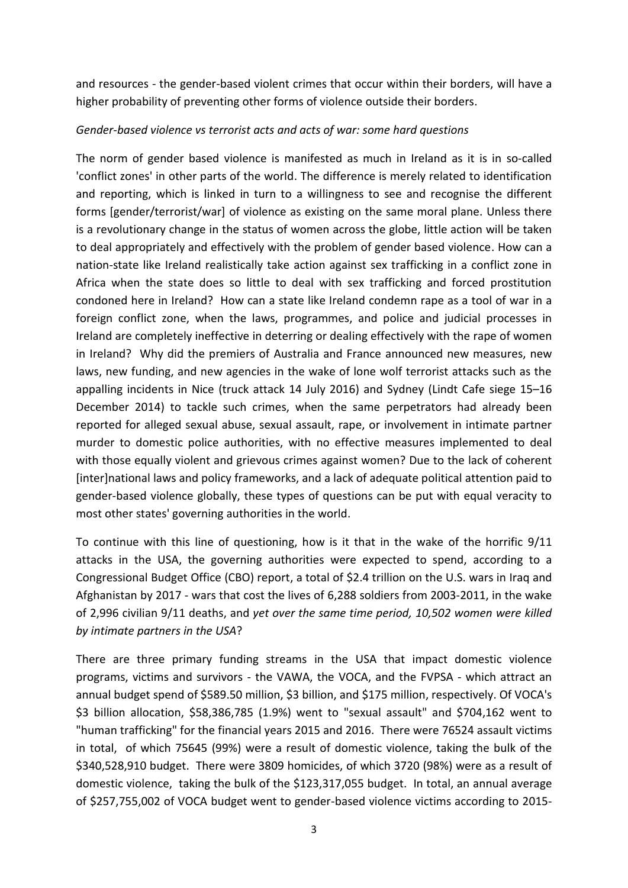and resources - the gender-based violent crimes that occur within their borders, will have a higher probability of preventing other forms of violence outside their borders.

#### *Gender-based violence vs terrorist acts and acts of war: some hard questions*

The norm of gender based violence is manifested as much in Ireland as it is in so-called 'conflict zones' in other parts of the world. The difference is merely related to identification and reporting, which is linked in turn to a willingness to see and recognise the different forms [gender/terrorist/war] of violence as existing on the same moral plane. Unless there is a revolutionary change in the status of women across the globe, little action will be taken to deal appropriately and effectively with the problem of gender based violence. How can a nation-state like Ireland realistically take action against sex trafficking in a conflict zone in Africa when the state does so little to deal with sex trafficking and forced prostitution condoned here in Ireland? How can a state like Ireland condemn rape as a tool of war in a foreign conflict zone, when the laws, programmes, and police and judicial processes in Ireland are completely ineffective in deterring or dealing effectively with the rape of women in Ireland? Why did the premiers of Australia and France announced new measures, new laws, new funding, and new agencies in the wake of lone wolf terrorist attacks such as the appalling incidents in Nice (truck attack 14 July 2016) and Sydney (Lindt Cafe siege 15–16 December 2014) to tackle such crimes, when the same perpetrators had already been reported for alleged sexual abuse, sexual assault, rape, or involvement in intimate partner murder to domestic police authorities, with no effective measures implemented to deal with those equally violent and grievous crimes against women? Due to the lack of coherent [inter]national laws and policy frameworks, and a lack of adequate political attention paid to gender-based violence globally, these types of questions can be put with equal veracity to most other states' governing authorities in the world.

To continue with this line of questioning, how is it that in the wake of the horrific 9/11 attacks in the USA, the governing authorities were expected to spend, according to a Congressional Budget Office (CBO) report, a total of \$2.4 trillion on the U.S. wars in Iraq and Afghanistan by 2017 - wars that cost the lives of 6,288 soldiers from 2003-2011, in the wake of 2,996 civilian 9/11 deaths, and *yet over the same time period, 10,502 women were killed by intimate partners in the USA*?

There are three primary funding streams in the USA that impact domestic violence programs, victims and survivors - the VAWA, the VOCA, and the FVPSA - which attract an annual budget spend of \$589.50 million, \$3 billion, and \$175 million, respectively. Of VOCA's \$3 billion allocation, \$58,386,785 (1.9%) went to "sexual assault" and \$704,162 went to "human trafficking" for the financial years 2015 and 2016. There were 76524 assault victims in total, of which 75645 (99%) were a result of domestic violence, taking the bulk of the \$340,528,910 budget. There were 3809 homicides, of which 3720 (98%) were as a result of domestic violence, taking the bulk of the \$123,317,055 budget. In total, an annual average of \$257,755,002 of VOCA budget went to gender-based violence victims according to 2015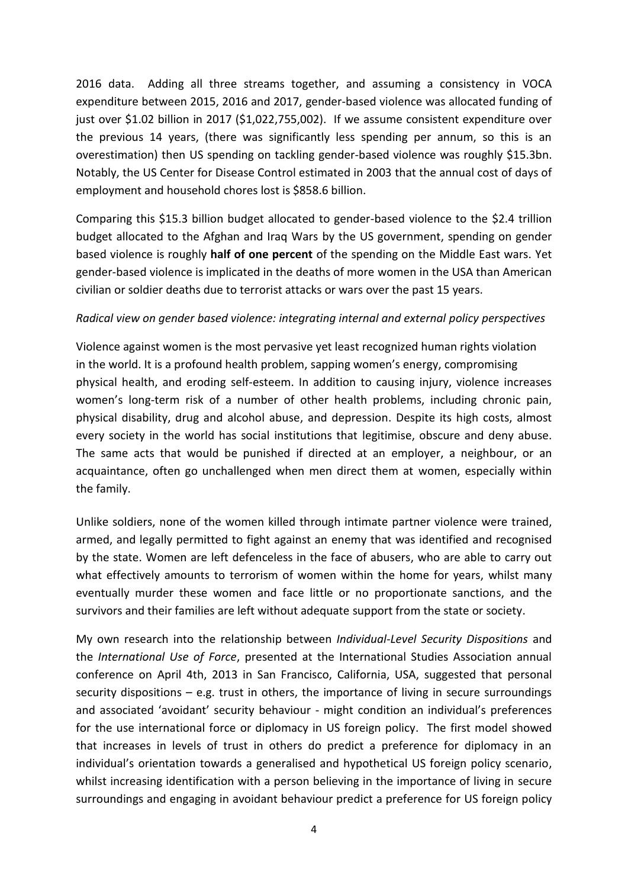2016 data. Adding all three streams together, and assuming a consistency in VOCA expenditure between 2015, 2016 and 2017, gender-based violence was allocated funding of just over \$1.02 billion in 2017 (\$1,022,755,002). If we assume consistent expenditure over the previous 14 years, (there was significantly less spending per annum, so this is an overestimation) then US spending on tackling gender-based violence was roughly \$15.3bn. Notably, the US Center for Disease Control estimated in 2003 that the annual cost of days of employment and household chores lost is \$858.6 billion.

Comparing this \$15.3 billion budget allocated to gender-based violence to the \$2.4 trillion budget allocated to the Afghan and Iraq Wars by the US government, spending on gender based violence is roughly **half of one percent** of the spending on the Middle East wars. Yet gender-based violence is implicated in the deaths of more women in the USA than American civilian or soldier deaths due to terrorist attacks or wars over the past 15 years.

#### *Radical view on gender based violence: integrating internal and external policy perspectives*

Violence against women is the most pervasive yet least recognized human rights violation in the world. It is a profound health problem, sapping women's energy, compromising physical health, and eroding self-esteem. In addition to causing injury, violence increases women's long-term risk of a number of other health problems, including chronic pain, physical disability, drug and alcohol abuse, and depression. Despite its high costs, almost every society in the world has social institutions that legitimise, obscure and deny abuse. The same acts that would be punished if directed at an employer, a neighbour, or an acquaintance, often go unchallenged when men direct them at women, especially within the family.

Unlike soldiers, none of the women killed through intimate partner violence were trained, armed, and legally permitted to fight against an enemy that was identified and recognised by the state. Women are left defenceless in the face of abusers, who are able to carry out what effectively amounts to terrorism of women within the home for years, whilst many eventually murder these women and face little or no proportionate sanctions, and the survivors and their families are left without adequate support from the state or society.

My own research into the relationship between *Individual-Level Security Dispositions* and the *International Use of Force*, presented at the International Studies Association annual conference on April 4th, 2013 in San Francisco, California, USA, suggested that personal security dispositions – e.g. trust in others, the importance of living in secure surroundings and associated 'avoidant' security behaviour - might condition an individual's preferences for the use international force or diplomacy in US foreign policy. The first model showed that increases in levels of trust in others do predict a preference for diplomacy in an individual's orientation towards a generalised and hypothetical US foreign policy scenario, whilst increasing identification with a person believing in the importance of living in secure surroundings and engaging in avoidant behaviour predict a preference for US foreign policy